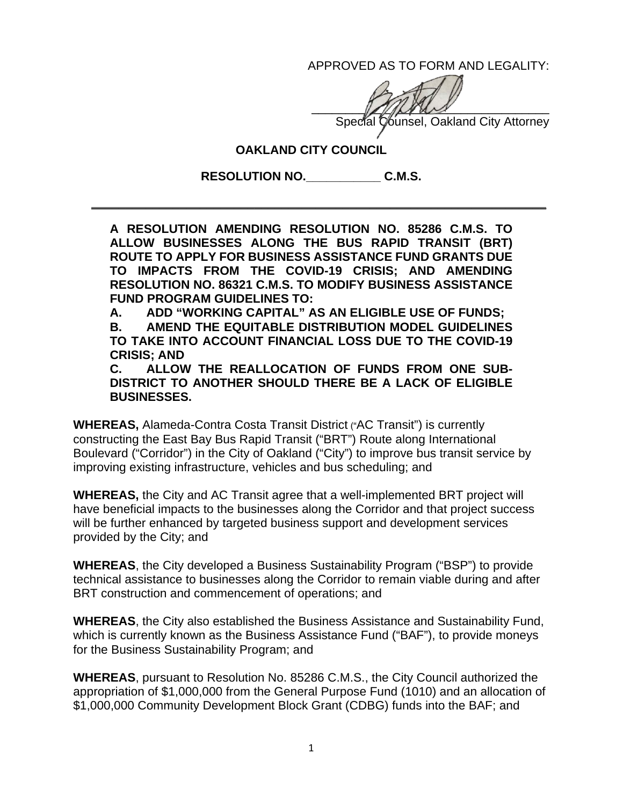APPROVED AS TO FORM AND LEGALITY:

 $\sim$ Special Counsel, Oakland City Attorney

## **OAKLAND CITY COUNCIL**

**RESOLUTION NO.\_\_\_\_\_\_\_\_\_\_\_ C.M.S.** 

\_\_\_\_\_\_\_\_\_\_\_\_\_\_\_\_\_\_\_\_\_\_\_\_\_\_\_\_\_\_\_\_\_\_\_\_\_\_\_\_\_\_\_\_\_\_\_\_\_\_\_\_\_\_\_\_\_\_\_\_\_\_\_\_\_\_\_

**A RESOLUTION AMENDING RESOLUTION NO. 85286 C.M.S. TO ALLOW BUSINESSES ALONG THE BUS RAPID TRANSIT (BRT) ROUTE TO APPLY FOR BUSINESS ASSISTANCE FUND GRANTS DUE TO IMPACTS FROM THE COVID-19 CRISIS; AND AMENDING RESOLUTION NO. 86321 C.M.S. TO MODIFY BUSINESS ASSISTANCE FUND PROGRAM GUIDELINES TO:** 

**A. ADD "WORKING CAPITAL" AS AN ELIGIBLE USE OF FUNDS;** 

**B. AMEND THE EQUITABLE DISTRIBUTION MODEL GUIDELINES TO TAKE INTO ACCOUNT FINANCIAL LOSS DUE TO THE COVID-19 CRISIS; AND** 

**C. ALLOW THE REALLOCATION OF FUNDS FROM ONE SUB-DISTRICT TO ANOTHER SHOULD THERE BE A LACK OF ELIGIBLE BUSINESSES.** 

**WHEREAS,** Alameda-Contra Costa Transit District ("AC Transit") is currently constructing the East Bay Bus Rapid Transit ("BRT") Route along International Boulevard ("Corridor") in the City of Oakland ("City") to improve bus transit service by improving existing infrastructure, vehicles and bus scheduling; and

**WHEREAS,** the City and AC Transit agree that a well-implemented BRT project will have beneficial impacts to the businesses along the Corridor and that project success will be further enhanced by targeted business support and development services provided by the City; and

**WHEREAS**, the City developed a Business Sustainability Program ("BSP") to provide technical assistance to businesses along the Corridor to remain viable during and after BRT construction and commencement of operations; and

**WHEREAS**, the City also established the Business Assistance and Sustainability Fund, which is currently known as the Business Assistance Fund ("BAF"), to provide moneys for the Business Sustainability Program; and

**WHEREAS**, pursuant to Resolution No. 85286 C.M.S., the City Council authorized the appropriation of \$1,000,000 from the General Purpose Fund (1010) and an allocation of \$1,000,000 Community Development Block Grant (CDBG) funds into the BAF; and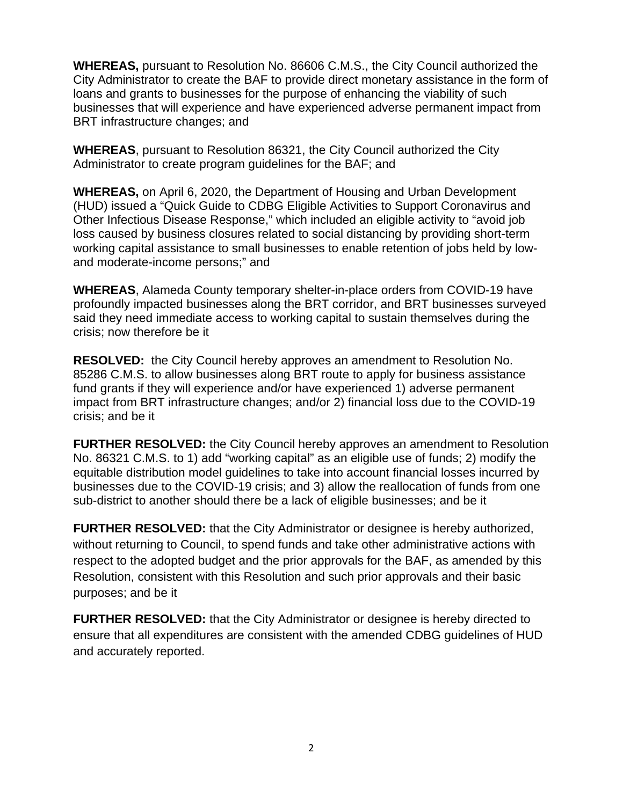**WHEREAS,** pursuant to Resolution No. 86606 C.M.S., the City Council authorized the City Administrator to create the BAF to provide direct monetary assistance in the form of loans and grants to businesses for the purpose of enhancing the viability of such businesses that will experience and have experienced adverse permanent impact from BRT infrastructure changes; and

**WHEREAS**, pursuant to Resolution 86321, the City Council authorized the City Administrator to create program guidelines for the BAF; and

**WHEREAS,** on April 6, 2020, the Department of Housing and Urban Development (HUD) issued a "Quick Guide to CDBG Eligible Activities to Support Coronavirus and Other Infectious Disease Response," which included an eligible activity to "avoid job loss caused by business closures related to social distancing by providing short-term working capital assistance to small businesses to enable retention of jobs held by lowand moderate-income persons;" and

**WHEREAS**, Alameda County temporary shelter-in-place orders from COVID-19 have profoundly impacted businesses along the BRT corridor, and BRT businesses surveyed said they need immediate access to working capital to sustain themselves during the crisis; now therefore be it

**RESOLVED:** the City Council hereby approves an amendment to Resolution No. 85286 C.M.S. to allow businesses along BRT route to apply for business assistance fund grants if they will experience and/or have experienced 1) adverse permanent impact from BRT infrastructure changes; and/or 2) financial loss due to the COVID-19 crisis; and be it

**FURTHER RESOLVED:** the City Council hereby approves an amendment to Resolution No. 86321 C.M.S. to 1) add "working capital" as an eligible use of funds; 2) modify the equitable distribution model guidelines to take into account financial losses incurred by businesses due to the COVID-19 crisis; and 3) allow the reallocation of funds from one sub-district to another should there be a lack of eligible businesses; and be it

**FURTHER RESOLVED:** that the City Administrator or designee is hereby authorized, without returning to Council, to spend funds and take other administrative actions with respect to the adopted budget and the prior approvals for the BAF, as amended by this Resolution, consistent with this Resolution and such prior approvals and their basic purposes; and be it

**FURTHER RESOLVED:** that the City Administrator or designee is hereby directed to ensure that all expenditures are consistent with the amended CDBG guidelines of HUD and accurately reported.